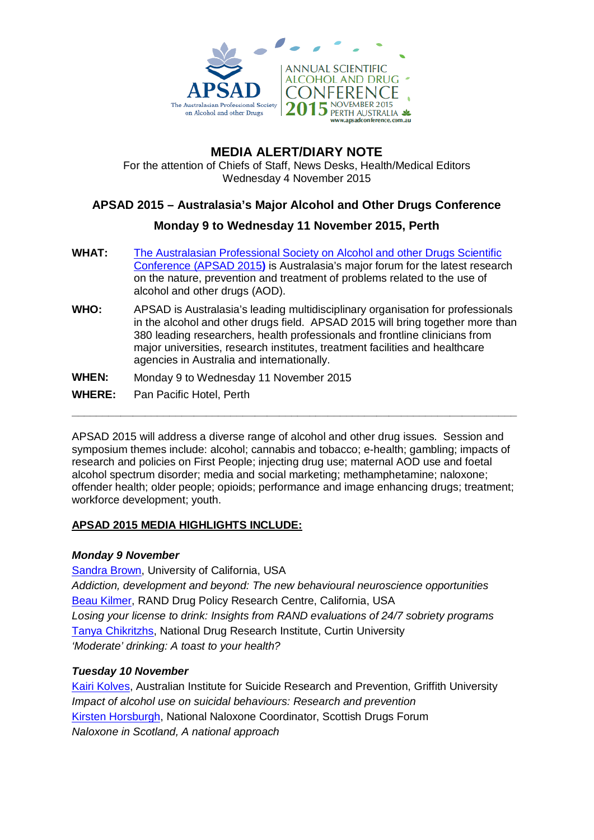

# **MEDIA ALERT/DIARY NOTE**

For the attention of Chiefs of Staff, News Desks, Health/Medical Editors Wednesday 4 November 2015

## **APSAD 2015 – Australasia's Major Alcohol and Other Drugs Conference**

### **Monday 9 to Wednesday 11 November 2015, Perth**

- **WHAT:** [The Australasian Professional Society on Alcohol and other Drugs Scientific](http://www.apsadconference.com.au/)  [Conference \(APSAD 2015](http://www.apsadconference.com.au/)**)** is Australasia's major forum for the latest research on the nature, prevention and treatment of problems related to the use of alcohol and other drugs (AOD).
- **WHO:** APSAD is Australasia's leading multidisciplinary organisation for professionals in the alcohol and other drugs field. APSAD 2015 will bring together more than 380 leading researchers, health professionals and frontline clinicians from major universities, research institutes, treatment facilities and healthcare agencies in Australia and internationally.

**WHEN:** Monday 9 to Wednesday 11 November 2015

**WHERE:** Pan Pacific Hotel, Perth

APSAD 2015 will address a diverse range of alcohol and other drug issues. Session and symposium themes include: alcohol; cannabis and tobacco; e-health; gambling; impacts of research and policies on First People; injecting drug use; maternal AOD use and foetal alcohol spectrum disorder; media and social marketing; methamphetamine; naloxone; offender health; older people; opioids; performance and image enhancing drugs; treatment; workforce development; youth.

**\_\_\_\_\_\_\_\_\_\_\_\_\_\_\_\_\_\_\_\_\_\_\_\_\_\_\_\_\_\_\_\_\_\_\_\_\_\_\_\_\_\_\_\_\_\_\_\_\_\_\_\_\_\_\_\_\_\_\_\_\_\_\_\_\_\_\_\_\_\_\_\_\_**

### **APSAD 2015 MEDIA HIGHLIGHTS INCLUDE:**

### *Monday 9 November*

[Sandra Brown,](http://www.apsadconference.com.au/ehome/apsadconference/258541/?&) University of California, USA *Addiction, development and beyond: The new behavioural neuroscience opportunities* [Beau Kilmer,](http://www.apsadconference.com.au/ehome/apsadconference/258541/?&) RAND Drug Policy Research Centre, California, USA *Losing your license to drink: Insights from RAND evaluations of 24/7 sobriety programs* [Tanya Chikritzhs,](http://www.apsadconference.com.au/ehome/apsadconference/258541/?&) National Drug Research Institute, Curtin University *'Moderate' drinking: A toast to your health?*

### *Tuesday 10 November*

[Kairi Kolves,](http://www.apsadconference.com.au/ehome/apsadconference/258541/?&) Australian Institute for Suicide Research and Prevention, Griffith University *Impact of alcohol use on suicidal behaviours: Research and prevention* [Kirsten Horsburgh,](http://www.apsadconference.com.au/ehome/apsadconference/258541/?&) National Naloxone Coordinator, Scottish Drugs Forum *Naloxone in Scotland, A national approach*